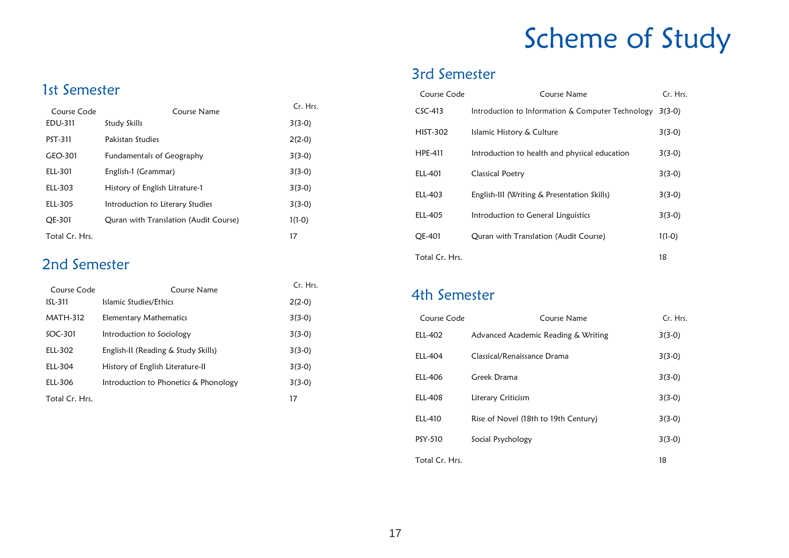# Scheme of Study

# 3rd Semester

| Course Code     | Course Name                                       | Cr. Hrs. |
|-----------------|---------------------------------------------------|----------|
| $CSC-413$       | Introduction to Information & Computer Technology | $3(3-0)$ |
| <b>HIST-302</b> | Islamic History & Culture                         | $3(3-0)$ |
| HPE-411         | Introduction to health and physical education     | $3(3-0)$ |
| ELL-401         | Classical Poetry                                  | $3(3-0)$ |
| ELL-403         | English-III (Writing & Presentation Skills)       | $3(3-0)$ |
| ELL-405         | Introduction to General Linguistics               | $3(3-0)$ |
| OE-401          | Quran with Translation (Audit Course)             | $1(1-0)$ |
| Total Cr. Hrs.  |                                                   | 18       |

#### 4th Semester

| Course Code    | Course Name                          | Cr. Hrs. |
|----------------|--------------------------------------|----------|
| ELL-402        | Advanced Academic Reading & Writing  | $3(3-0)$ |
| <b>ELL-404</b> | Classical/Renaissance Drama          | $3(3-0)$ |
| ELL-406        | Greek Drama                          | $3(3-0)$ |
| <b>ELL-408</b> | Literary Criticism                   | $3(3-0)$ |
| ELL-410        | Rise of Novel (18th to 19th Century) | $3(3-0)$ |
| PSY-510        | Social Psychology                    | $3(3-0)$ |
| Total Cr. Hrs. |                                      | 18       |

#### 1st Semester

| Course Code    | Course Name                           | Cr. Hrs. |
|----------------|---------------------------------------|----------|
| EDU-311        | Study Skills                          | $3(3-0)$ |
| PST-311        | Pakistan Studies                      | $2(2-0)$ |
| GEO-301        | <b>Fundamentals of Geography</b>      | $3(3-0)$ |
| ELL-301        | English-1 (Grammar)                   | $3(3-0)$ |
| ELL-303        | History of English Litrature-1        | $3(3-0)$ |
| ELL-305        | Introduction to Literary Studies      | $3(3-0)$ |
| OE-301         | Quran with Translation (Audit Course) | $1(1-0)$ |
| Total Cr. Hrs. |                                       | 17       |

#### 2nd Semester

| Course Code     | Course Name                           | Cr. Hrs. |
|-----------------|---------------------------------------|----------|
| ISL-311         | Islamic Studies/Ethics                | $2(2-0)$ |
| <b>MATH-312</b> | Elementary Mathematics                | $3(3-0)$ |
| $SOC-301$       | Introduction to Sociology             | $3(3-0)$ |
| ELL-302         | English-II (Reading & Study Skills)   | $3(3-0)$ |
| ELL-304         | History of English Literature-II      | $3(3-0)$ |
| ELL-306         | Introduction to Phonetics & Phonology | $3(3-0)$ |
| Total Cr. Hrs.  |                                       | 17       |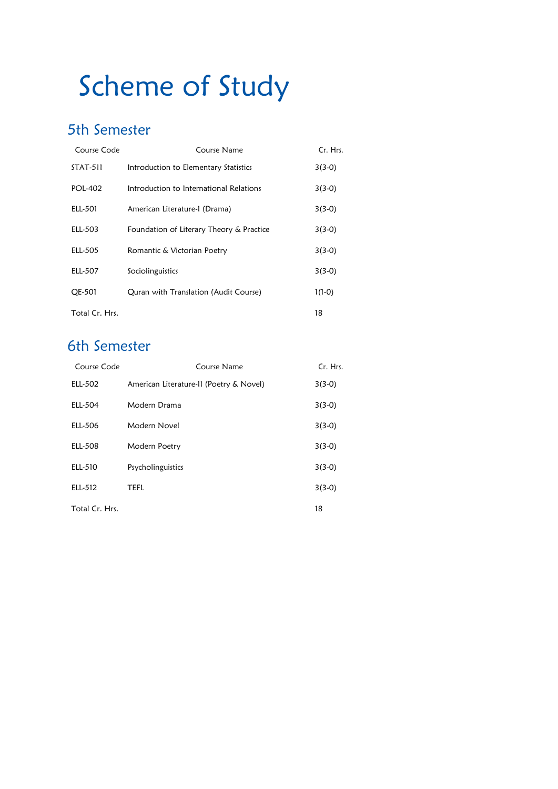# Scheme of Study

# 5th Semester

| Course Code     | Course Name                              | Cr. Hrs. |
|-----------------|------------------------------------------|----------|
| <b>STAT-511</b> | Introduction to Elementary Statistics    | $3(3-0)$ |
| <b>POL-402</b>  | Introduction to International Relations  | $3(3-0)$ |
| ELL-501         | American Literature-I (Drama)            | $3(3-0)$ |
| ELL-503         | Foundation of Literary Theory & Practice | $3(3-0)$ |
| ELL-505         | Romantic & Victorian Poetry              | $3(3-0)$ |
| ELL-507         | Sociolinguistics                         | $3(3-0)$ |
| <b>OE-501</b>   | Quran with Translation (Audit Course)    | $1(1-0)$ |
| Total Cr. Hrs.  |                                          | 18       |

# 6th Semester

| Course Code    | Course Name                             | Cr. Hrs. |
|----------------|-----------------------------------------|----------|
| ELL-502        | American Literature-II (Poetry & Novel) | $3(3-0)$ |
| ELL-504        | Modern Drama                            | $3(3-0)$ |
| ELL-506        | Modern Novel                            | $3(3-0)$ |
| ELL-508        | Modern Poetry                           | $3(3-0)$ |
| ELL-510        | Psycholinguistics                       | $3(3-0)$ |
| ELL-512        | <b>TEFL</b>                             | $3(3-0)$ |
| Total Cr. Hrs. |                                         | 18       |